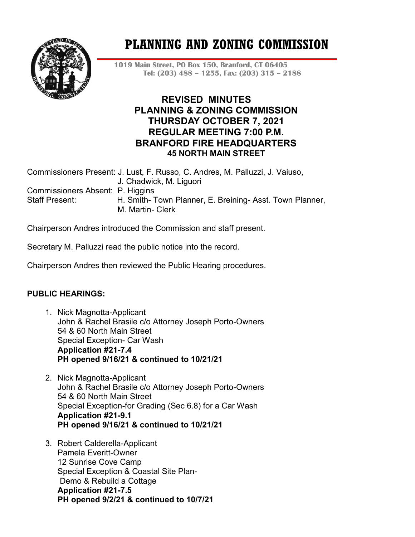

# **PLANNING AND ZONING COMMISSION**

**1019 Main Street, PO Box 150, Branford, CT 06405 Tel: (203) 488 – 1255, Fax: (203) 315 – 2188**

# **REVISED MINUTES PLANNING & ZONING COMMISSION THURSDAY OCTOBER 7, 2021 REGULAR MEETING 7:00 P.M. BRANFORD FIRE HEADQUARTERS 45 NORTH MAIN STREET**

|                                  | Commissioners Present: J. Lust, F. Russo, C. Andres, M. Palluzzi, J. Vaiuso, |
|----------------------------------|------------------------------------------------------------------------------|
|                                  | J. Chadwick, M. Liguori                                                      |
| Commissioners Absent: P. Higgins |                                                                              |
| Staff Present:                   | H. Smith-Town Planner, E. Breining-Asst. Town Planner,                       |
|                                  | M. Martin- Clerk                                                             |
|                                  |                                                                              |

Chairperson Andres introduced the Commission and staff present.

Secretary M. Palluzzi read the public notice into the record.

Chairperson Andres then reviewed the Public Hearing procedures.

## **PUBLIC HEARINGS:**

- 1. Nick Magnotta-Applicant John & Rachel Brasile c/o Attorney Joseph Porto-Owners 54 & 60 North Main Street Special Exception- Car Wash **Application #21-7.4 PH opened 9/16/21 & continued to 10/21/21**
- 2. Nick Magnotta-Applicant John & Rachel Brasile c/o Attorney Joseph Porto-Owners 54 & 60 North Main Street Special Exception-for Grading (Sec 6.8) for a Car Wash **Application #21-9.1 PH opened 9/16/21 & continued to 10/21/21**
- 3. Robert Calderella-Applicant Pamela Everitt-Owner 12 Sunrise Cove Camp Special Exception & Coastal Site Plan-Demo & Rebuild a Cottage **Application #21-7.5 PH opened 9/2/21 & continued to 10/7/21**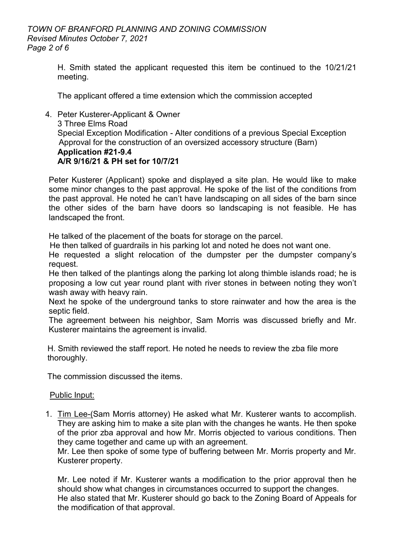H. Smith stated the applicant requested this item be continued to the 10/21/21 meeting.

The applicant offered a time extension which the commission accepted

4. Peter Kusterer-Applicant & Owner 3 Three Elms Road Special Exception Modification - Alter conditions of a previous Special Exception Approval for the construction of an oversized accessory structure (Barn) **Application #21-9.4 A/R 9/16/21 & PH set for 10/7/21**

Peter Kusterer (Applicant) spoke and displayed a site plan. He would like to make some minor changes to the past approval. He spoke of the list of the conditions from the past approval. He noted he can't have landscaping on all sides of the barn since the other sides of the barn have doors so landscaping is not feasible. He has landscaped the front.

He talked of the placement of the boats for storage on the parcel.

He then talked of guardrails in his parking lot and noted he does not want one.

He requested a slight relocation of the dumpster per the dumpster company's request.

He then talked of the plantings along the parking lot along thimble islands road; he is proposing a low cut year round plant with river stones in between noting they won't wash away with heavy rain.

Next he spoke of the underground tanks to store rainwater and how the area is the septic field.

The agreement between his neighbor, Sam Morris was discussed briefly and Mr. Kusterer maintains the agreement is invalid.

 H. Smith reviewed the staff report. He noted he needs to review the zba file more thoroughly.

The commission discussed the items.

## Public Input:

1. Tim Lee-(Sam Morris attorney) He asked what Mr. Kusterer wants to accomplish. They are asking him to make a site plan with the changes he wants. He then spoke of the prior zba approval and how Mr. Morris objected to various conditions. Then they came together and came up with an agreement.

Mr. Lee then spoke of some type of buffering between Mr. Morris property and Mr. Kusterer property.

Mr. Lee noted if Mr. Kusterer wants a modification to the prior approval then he should show what changes in circumstances occurred to support the changes. He also stated that Mr. Kusterer should go back to the Zoning Board of Appeals for the modification of that approval.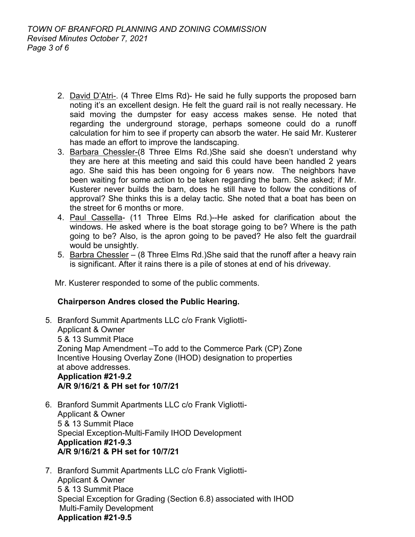- 2. David D'Atri-. (4 Three Elms Rd)- He said he fully supports the proposed barn noting it's an excellent design. He felt the guard rail is not really necessary. He said moving the dumpster for easy access makes sense. He noted that regarding the underground storage, perhaps someone could do a runoff calculation for him to see if property can absorb the water. He said Mr. Kusterer has made an effort to improve the landscaping.
- 3. Barbara Chessler-(8 Three Elms Rd.)She said she doesn't understand why they are here at this meeting and said this could have been handled 2 years ago. She said this has been ongoing for 6 years now. The neighbors have been waiting for some action to be taken regarding the barn. She asked; if Mr. Kusterer never builds the barn, does he still have to follow the conditions of approval? She thinks this is a delay tactic. She noted that a boat has been on the street for 6 months or more.
- 4. Paul Cassella- (11 Three Elms Rd.)--He asked for clarification about the windows. He asked where is the boat storage going to be? Where is the path going to be? Also, is the apron going to be paved? He also felt the guardrail would be unsightly.
- 5. Barbra Chessler (8 Three Elms Rd.)She said that the runoff after a heavy rain is significant. After it rains there is a pile of stones at end of his driveway.

Mr. Kusterer responded to some of the public comments.

## **Chairperson Andres closed the Public Hearing.**

- 5. Branford Summit Apartments LLC c/o Frank Vigliotti-Applicant & Owner 5 & 13 Summit Place Zoning Map Amendment –To add to the Commerce Park (CP) Zone Incentive Housing Overlay Zone (IHOD) designation to properties at above addresses. **Application #21-9.2 A/R 9/16/21 & PH set for 10/7/21**
- 6. Branford Summit Apartments LLC c/o Frank Vigliotti-Applicant & Owner 5 & 13 Summit Place Special Exception-Multi-Family IHOD Development **Application #21-9.3 A/R 9/16/21 & PH set for 10/7/21**
- 7. Branford Summit Apartments LLC c/o Frank Vigliotti-Applicant & Owner 5 & 13 Summit Place Special Exception for Grading (Section 6.8) associated with IHOD Multi-Family Development **Application #21-9.5**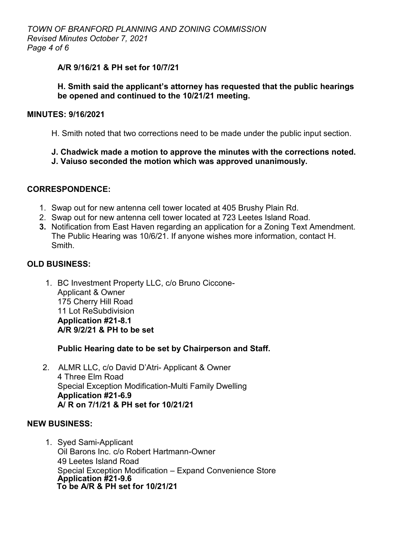## **A/R 9/16/21 & PH set for 10/7/21**

## **H. Smith said the applicant's attorney has requested that the public hearings be opened and continued to the 10/21/21 meeting.**

## **MINUTES: 9/16/2021**

H. Smith noted that two corrections need to be made under the public input section.

#### **J. Chadwick made a motion to approve the minutes with the corrections noted. J. Vaiuso seconded the motion which was approved unanimously.**

## **CORRESPONDENCE:**

- 1. Swap out for new antenna cell tower located at 405 Brushy Plain Rd.
- 2. Swap out for new antenna cell tower located at 723 Leetes Island Road.
- **3.** Notification from East Haven regarding an application for a Zoning Text Amendment. The Public Hearing was 10/6/21. If anyone wishes more information, contact H. Smith.

## **OLD BUSINESS:**

1. BC Investment Property LLC, c/o Bruno Ciccone-Applicant & Owner 175 Cherry Hill Road 11 Lot ReSubdivision **Application #21-8.1 A/R 9/2/21 & PH to be set** 

**Public Hearing date to be set by Chairperson and Staff.**

2. ALMR LLC, c/o David D'Atri- Applicant & Owner 4 Three Elm Road Special Exception Modification-Multi Family Dwelling **Application #21-6.9 A/ R on 7/1/21 & PH set for 10/21/21**

## **NEW BUSINESS:**

1. Syed Sami-Applicant Oil Barons Inc. c/o Robert Hartmann-Owner 49 Leetes Island Road Special Exception Modification – Expand Convenience Store **Application #21-9.6 To be A/R & PH set for 10/21/21**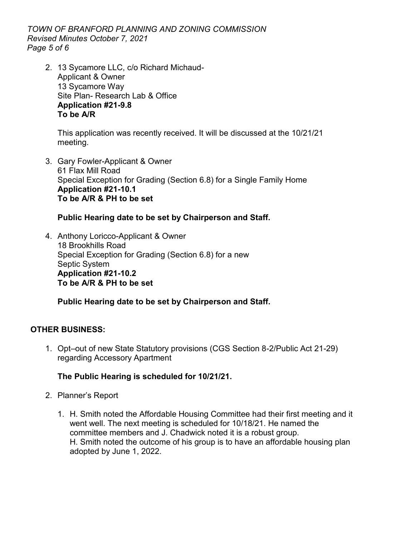*TOWN OF BRANFORD PLANNING AND ZONING COMMISSION Revised Minutes October 7, 2021 Page 5 of 6*

2. 13 Sycamore LLC, c/o Richard Michaud-Applicant & Owner 13 Sycamore Way Site Plan- Research Lab & Office **Application #21-9.8 To be A/R**

This application was recently received. It will be discussed at the 10/21/21 meeting.

3. Gary Fowler-Applicant & Owner 61 Flax Mill Road Special Exception for Grading (Section 6.8) for a Single Family Home **Application #21-10.1 To be A/R & PH to be set**

## **Public Hearing date to be set by Chairperson and Staff.**

4. Anthony Loricco-Applicant & Owner 18 Brookhills Road Special Exception for Grading (Section 6.8) for a new Septic System **Application #21-10.2 To be A/R & PH to be set** 

**Public Hearing date to be set by Chairperson and Staff.**

## **OTHER BUSINESS:**

1. Opt–out of new State Statutory provisions (CGS Section 8-2/Public Act 21-29) regarding Accessory Apartment

## **The Public Hearing is scheduled for 10/21/21.**

- 2. Planner's Report
	- 1. H. Smith noted the Affordable Housing Committee had their first meeting and it went well. The next meeting is scheduled for 10/18/21. He named the committee members and J. Chadwick noted it is a robust group. H. Smith noted the outcome of his group is to have an affordable housing plan adopted by June 1, 2022.